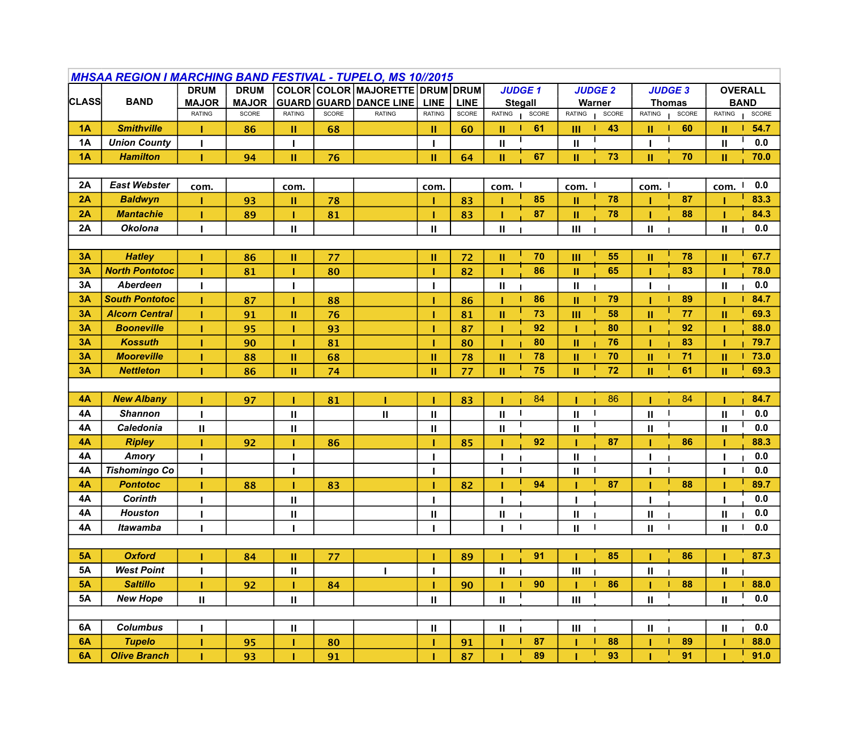| <b>MHSAA REGION I MARCHING BAND FESTIVAL - TUPELO, MS 10//2015</b> |                       |               |              |               |              |                                 |               |             |               |                |               |                |               |                |                       |       |
|--------------------------------------------------------------------|-----------------------|---------------|--------------|---------------|--------------|---------------------------------|---------------|-------------|---------------|----------------|---------------|----------------|---------------|----------------|-----------------------|-------|
|                                                                    |                       | <b>DRUM</b>   | <b>DRUM</b>  |               |              | COLOR COLOR MAJORETTE DRUM DRUM |               |             | <b>JUDGE1</b> |                |               | <b>JUDGE 2</b> |               | <b>JUDGE 3</b> | <b>OVERALL</b>        |       |
| <b>CLASS</b>                                                       | <b>BAND</b>           | <b>MAJOR</b>  | <b>MAJOR</b> |               |              | <b>GUARD GUARD DANCE LINE</b>   | <b>LINE</b>   | <b>LINE</b> |               | <b>Stegall</b> |               | Warner         |               | <b>Thomas</b>  | <b>BAND</b>           |       |
|                                                                    |                       | <b>RATING</b> | SCORE        | <b>RATING</b> | <b>SCORE</b> | <b>RATING</b>                   | <b>RATING</b> | SCORE       | <b>RATING</b> | SCORE          | RATING        | SCORE          | RATING        | SCORE          | RATING                | SCORE |
| 1A                                                                 | <b>Smithville</b>     |               | 86           | Ш             | 68           |                                 | Ш             | 60          | Ш             | 61             | Ш             | 43             | П.            | 60             | Ш                     | 54.7  |
| <b>1A</b>                                                          | <b>Union County</b>   |               |              |               |              |                                 | п             |             | $\mathbf{I}$  |                | $\mathbf{I}$  |                |               |                | $\mathbf{H}$          | 0.0   |
| 1A                                                                 | <b>Hamilton</b>       |               | 94           | Ш             | 76           |                                 | II.           | 64          | $\mathbf{II}$ | 67             | II.           | 73             | II.           | 70             | Ш                     | 70.0  |
|                                                                    |                       |               |              |               |              |                                 |               |             |               |                |               |                |               |                |                       |       |
| 2A                                                                 | <b>East Webster</b>   | com.          |              | com.          |              |                                 | com.          |             | com.          |                | com. I        |                | com. I        |                | com.                  | 0.0   |
| 2A                                                                 | <b>Baldwyn</b>        |               | 93           | Ш             | 78           |                                 |               | 83          |               | 85             | $\mathbf{I}$  | 78             |               | 87             |                       | 83.3  |
| 2A                                                                 | <b>Mantachie</b>      |               | 89           |               | 81           |                                 |               | 83          |               | 87             | II            | 78             |               | 88             |                       | 84.3  |
| 2A                                                                 | <b>Okolona</b>        |               |              | $\mathbf{H}$  |              |                                 | $\mathbf{H}$  |             | $\mathbf{II}$ |                | Ш             |                | $\mathbf{II}$ |                | $\mathbf{H}$          | 0.0   |
|                                                                    |                       |               |              |               |              |                                 |               |             |               |                |               |                |               |                |                       |       |
| 3A                                                                 | <b>Hatley</b>         |               | 86           | Ш             | 77           |                                 | Ш             | 72          | $\mathbf{II}$ | 70             | III           | 55             | Ш             | 78             | $\mathbf{H}$          | 67.7  |
| 3A                                                                 | <b>North Pontotoc</b> |               | 81           |               | 80           |                                 |               | 82          |               | 86             | II            | 65             |               | 83             |                       | 78.0  |
| 3A                                                                 | <b>Aberdeen</b>       |               |              |               |              |                                 |               |             | $\mathbf{II}$ |                | $\mathbf{H}$  |                |               |                | $\mathbf{II}$         | 0.0   |
| 3A                                                                 | <b>South Pontotoc</b> |               | 87           |               | 88           |                                 |               | 86          |               | 86             | П             | 79             |               | 89             |                       | 84.7  |
| 3A                                                                 | <b>Alcorn Central</b> |               | 91           | п             | 76           |                                 | Т             | 81          | $\mathbf{II}$ | 73             | III           | 58             | Ш             | 77             | Ш                     | 69.3  |
| 3A                                                                 | <b>Booneville</b>     |               | 95           |               | 93           |                                 | 1             | 87          |               | 92             |               | 80             |               | 92             |                       | 88.0  |
| 3A                                                                 | <b>Kossuth</b>        |               | 90           |               | 81           |                                 | т             | 80          |               | 80             | $\mathbf{II}$ | 76             |               | 83             |                       | 79.7  |
| 3A                                                                 | <b>Mooreville</b>     |               | 88           | Ш             | 68           |                                 | Ш             | 78          | П             | 78             | Ш             | 70             | II.           | 71             | П                     | 73.0  |
| 3A                                                                 | <b>Nettleton</b>      |               | 86           | Ш             | 74           |                                 | $\mathbf{H}$  | 77          | $\mathbf{H}$  | 75             | п             | 72             | H.            | 61             | $\mathbf{H}$          | 69.3  |
|                                                                    |                       |               |              |               |              |                                 |               |             |               |                |               |                |               |                |                       |       |
| 4A                                                                 | <b>New Albany</b>     |               | 97           |               | 81           |                                 | п             | 83          |               | 84             |               | 86             |               | 84             |                       | 84.7  |
| 4A                                                                 | <b>Shannon</b>        |               |              | $\mathbf{I}$  |              | $\mathbf{H}$                    | $\mathbf{H}$  |             | $\mathbf{I}$  |                | $\mathbf{I}$  |                | $\mathbf{H}$  |                | $\mathbf{H}$          | 0.0   |
| <b>4A</b>                                                          | Caledonia             | $\mathbf{II}$ |              | $\mathbf{II}$ |              |                                 | $\mathbf{II}$ |             | $\mathbf{I}$  |                | $\mathbf{I}$  |                | Ш             |                | $\mathbf{\mathbf{H}}$ | 0.0   |
| 4A                                                                 | <b>Ripley</b>         |               | 92           |               | 86           |                                 |               | 85          |               | 92             |               | 87             |               | 86             |                       | 88.3  |
| <b>4A</b>                                                          | Amory                 |               |              |               |              |                                 |               |             |               |                | $\mathbf{I}$  |                |               |                |                       | 0.0   |
| 4A                                                                 | <b>Tishomingo Co</b>  |               |              |               |              |                                 |               |             |               |                | $\mathbf{I}$  |                |               |                |                       | 0.0   |
| 4A                                                                 | <b>Pontotoc</b>       |               | 88           |               | 83           |                                 |               | 82          |               | 94             |               | 87             |               | 88             |                       | 89.7  |
| 4A                                                                 | <b>Corinth</b>        |               |              | Ш             |              |                                 |               |             |               |                |               |                |               |                |                       | 0.0   |
| <b>4A</b>                                                          | <b>Houston</b>        |               |              | $\mathbf{II}$ |              |                                 | $\mathbf{H}$  |             | $\mathbf{II}$ |                | $\mathbf{H}$  |                | $\mathbf{H}$  |                | $\mathbf{II}$         | 0.0   |
| <b>4A</b>                                                          | <b>Itawamba</b>       |               |              |               |              |                                 |               |             |               |                | $\mathbf{II}$ |                | $\mathbf{II}$ |                | $\mathbf{II}$         | 0.0   |
|                                                                    |                       |               |              |               |              |                                 |               |             |               |                |               |                |               |                |                       |       |
| <b>5A</b>                                                          | <b>Oxford</b>         |               | 84           | Ш             | 77           |                                 | ı             | 89          |               | 91             |               | 85             |               | 86             |                       | 87.3  |
| <b>5A</b>                                                          | <b>West Point</b>     |               |              | $\mathbf{H}$  |              |                                 | п             |             | $\mathbf{I}$  |                | III           |                | $\mathbf{II}$ |                | $\mathbf{II}$         |       |
| <b>5A</b>                                                          | <b>Saltillo</b>       |               | 92           |               | 84           |                                 |               | 90          |               | 90             |               | 86             |               | 88             |                       | 88.0  |
| <b>5A</b>                                                          | <b>New Hope</b>       | $\mathbf{II}$ |              | $\mathbf{H}$  |              |                                 | $\mathbf{H}$  |             | $\mathbf{I}$  |                | III           |                | $\mathbf{H}$  |                | $\mathbf{H}$          | 0.0   |
|                                                                    |                       |               |              |               |              |                                 |               |             |               |                |               |                |               |                |                       |       |
| 6A                                                                 | <b>Columbus</b>       |               |              | $\mathbf{H}$  |              |                                 | $\mathbf{II}$ |             | $\mathbf{II}$ |                | III           |                | $\mathbf{II}$ |                | $\mathbf{II}$         | 0.0   |
| 6A                                                                 | <b>Tupelo</b>         |               | 95           |               | 80           |                                 | ı             | 91          |               | 87             |               | 88             |               | 89             |                       | 88.0  |
| 6A                                                                 | <b>Olive Branch</b>   |               | 93           |               | 91           |                                 | Т             | 87          |               | 89             |               | 93             |               | 91             |                       | 91.0  |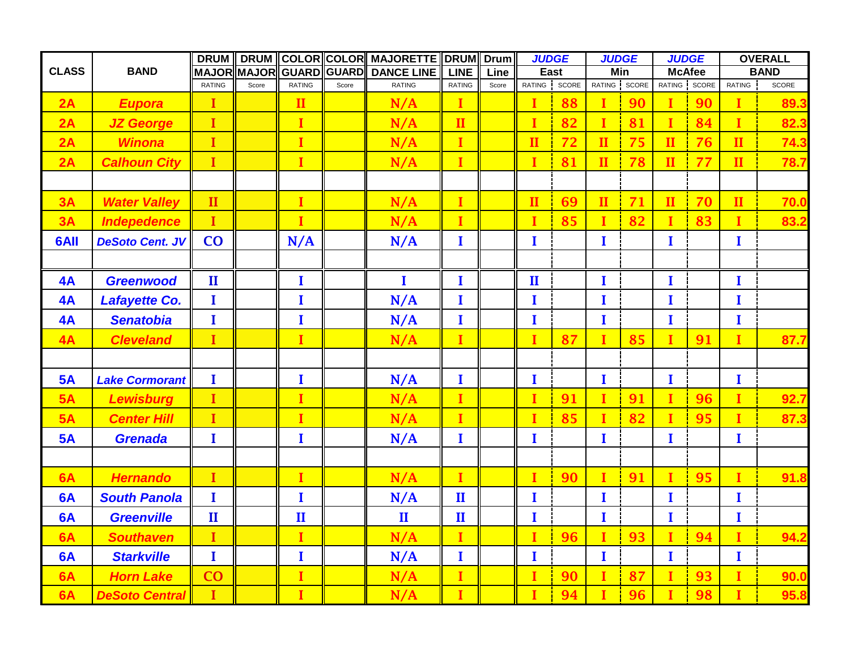|              |                        | <b>DRUM</b>            |                         | DRUM COLOR COLOR MAJORETTE DRUM Drum |                   |                     |               |       | <b>JUDGE</b> |              | <b>JUDGE</b> |               | <b>JUDGE</b> |              | <b>OVERALL</b> |              |
|--------------|------------------------|------------------------|-------------------------|--------------------------------------|-------------------|---------------------|---------------|-------|--------------|--------------|--------------|---------------|--------------|--------------|----------------|--------------|
| <b>CLASS</b> | <b>BAND</b>            |                        | MAJOR MAJOR GUARD GUARD |                                      | <b>DANCE LINE</b> | <b>LINE</b><br>Line |               | East  |              |              | Min          | <b>McAfee</b> |              | <b>BAND</b>  |                |              |
|              |                        | <b>RATING</b>          | Score                   | <b>RATING</b>                        | Score             | <b>RATING</b>       | <b>RATING</b> | Score | RATING       | <b>SCORE</b> |              | RATING SCORE  |              | RATING SCORE | RATING         | <b>SCORE</b> |
| 2A           | <b>Eupora</b>          | I                      |                         | $\mathbf{I}$                         |                   | N/A                 | I             |       | $\mathbf I$  | 88           | I            | 90            | I            | 90           | I              | 89.3         |
| 2A           | <b>JZ George</b>       | $\mathbf I$            |                         | $\mathbf{I}$                         |                   | N/A                 | $\mathbf{II}$ |       | $\mathbf I$  | 82           | $\mathbf{I}$ | 81            | $\mathbf I$  | 84           | $\mathbf{I}$   | 82.3         |
| 2A           | <b>Winona</b>          | I                      |                         | $\mathbf{I}$                         |                   | N/A                 | I             |       | $\mathbf{I}$ | 72           | $\mathbf{I}$ | 75            | $\mathbf{I}$ | 76           | $\mathbf{I}$   | 74.3         |
| 2A           | <b>Calhoun City</b>    | $\mathbf{I}$           |                         | r                                    |                   | N/A                 | $\mathbf{I}$  |       | $\mathbf{I}$ | 81           | $\mathbf{H}$ | 78            | $\mathbf{I}$ | 77           | $\mathbf{I}$   | 78.7         |
|              |                        |                        |                         |                                      |                   |                     |               |       |              |              |              |               |              |              |                |              |
| 3A           | <b>Water Valley</b>    | $\mathbf{I}$           |                         | $\mathbf{I}$                         |                   | N/A                 | r             |       | $\mathbf{I}$ | 69           | $\mathbf{I}$ | 71            | $\mathbf{I}$ | 70           | $\mathbf{I}$   | 70.0         |
| 3A           | <b>Indepedence</b>     | $\mathbf{I}$           |                         | $\mathbf{I}$                         |                   | N/A                 | ī             |       | $\mathbf{I}$ | 85           | $\mathbf{I}$ | 82            | $\mathbf{I}$ | 83           | ī              | 83.2         |
| 6AII         | <b>DeSoto Cent. JV</b> | CO                     |                         | N/A                                  |                   | N/A                 | I             |       | $\bf{I}$     |              | I            |               | $\bf{I}$     |              | $\mathbf I$    |              |
|              |                        |                        |                         |                                      |                   |                     |               |       |              |              |              |               |              |              |                |              |
| 4A           | <b>Greenwood</b>       | $\mathbf{I}\mathbf{I}$ |                         | $\mathbf{I}$                         |                   | $\mathbf{I}$        | I             |       | $\mathbf{I}$ |              | I            |               | $\bf{I}$     |              | $\bf{I}$       |              |
| 4A           | <b>Lafayette Co.</b>   | I                      |                         | I                                    |                   | N/A                 | I             |       | $\mathbf I$  |              | I            |               | $\mathbf{I}$ |              | $\mathbf I$    |              |
| 4A           | <b>Senatobia</b>       | $\mathbf{I}$           |                         | $\mathbf I$                          |                   | N/A                 | I             |       | $\bf{I}$     |              | T            |               | $\mathbf{I}$ |              | I              |              |
| 4A           | <b>Cleveland</b>       | $\mathbf I$            |                         | $\mathbf{I}$                         |                   | N/A                 | ī             |       | $\mathbf{I}$ | 87           | $\mathbf I$  | 85            | $\mathbf I$  | 91           | $\mathbf{I}$   | 87.7         |
|              |                        |                        |                         |                                      |                   |                     |               |       |              |              |              |               |              |              |                |              |
| 5A           | <b>Lake Cormorant</b>  | $\mathbf{I}$           |                         | $\mathbf{I}$                         |                   | N/A                 | $\mathbf{I}$  |       | $\mathbf{I}$ |              | T            |               | $\bf{I}$     |              | $\bf{I}$       |              |
| 5A           | <b>Lewisburg</b>       | I                      |                         | $\mathbf{I}$                         |                   | N/A                 | Ī             |       | $\mathbf I$  | 91           | $\mathbf I$  | 91            | $\mathbf I$  | 96           | Ī              | 92.7         |
| 5A           | <b>Center Hill</b>     | I                      |                         | $\mathbf{I}$                         |                   | N/A                 | r             |       | $\mathbf{I}$ | 85           | п            | 82            | I            | 95           | ī              | 87.3         |
| 5A           | <b>Grenada</b>         | $\mathbf{I}$           |                         | $\mathbf{I}$                         |                   | N/A                 | I             |       | $\mathbf{I}$ |              | $\bf{I}$     |               | $\bf{I}$     |              | $\bf{I}$       |              |
|              |                        |                        |                         |                                      |                   |                     |               |       |              |              |              |               |              |              |                |              |
| 6A           | <b>Hernando</b>        | T                      |                         | $\mathbf{I}$                         |                   | N/A                 | L             |       | $\mathbf{I}$ | 90           | $\mathbf{I}$ | 91            | $\mathbf{I}$ | 95           | L              | 91.8         |
| 6A           | <b>South Panola</b>    | $\mathbf{I}$           |                         | $\mathbf{I}$                         |                   | N/A                 | $\mathbf{I}$  |       | $\mathbf{I}$ |              | $\mathbf{I}$ |               | $\bf{I}$     |              | I              |              |
| 6A           | <b>Greenville</b>      | $\mathbf{I}$           |                         | $\mathbf{I}$                         |                   | $\mathbf{I}$        | $\mathbf{I}$  |       | I            |              | $\bf{I}$     |               | $\mathbf{I}$ |              | I              |              |
| 6A           | <b>Southaven</b>       | $\mathbf I$            |                         | $\mathbf{I}$                         |                   | N/A                 | r             |       | $\mathbf{I}$ | 96           | $\mathbf I$  | 93            | $\mathbf{I}$ | 94           | r              | 94.2         |
| 6A           | <b>Starkville</b>      | $\bf{I}$               |                         | $\mathbf{I}$                         |                   | N/A                 | I             |       | $\bf{I}$     |              | $\bf{I}$     |               | $\bf{I}$     |              | $\bf{I}$       |              |
| 6A           | <b>Horn Lake</b>       | CO                     |                         | $\mathbf{I}$                         |                   | N/A                 | I             |       | $\bf{I}$     | 90           | $\mathbf I$  | 87            | $\mathbf I$  | 93           | Ī              | 90.0         |
| 6A           | <b>DeSoto Central</b>  | I                      |                         | $\mathbf{I}$                         |                   | N/A                 | Т             |       | T            | 94           | I            | 96            | T            | 98           |                | 95.8         |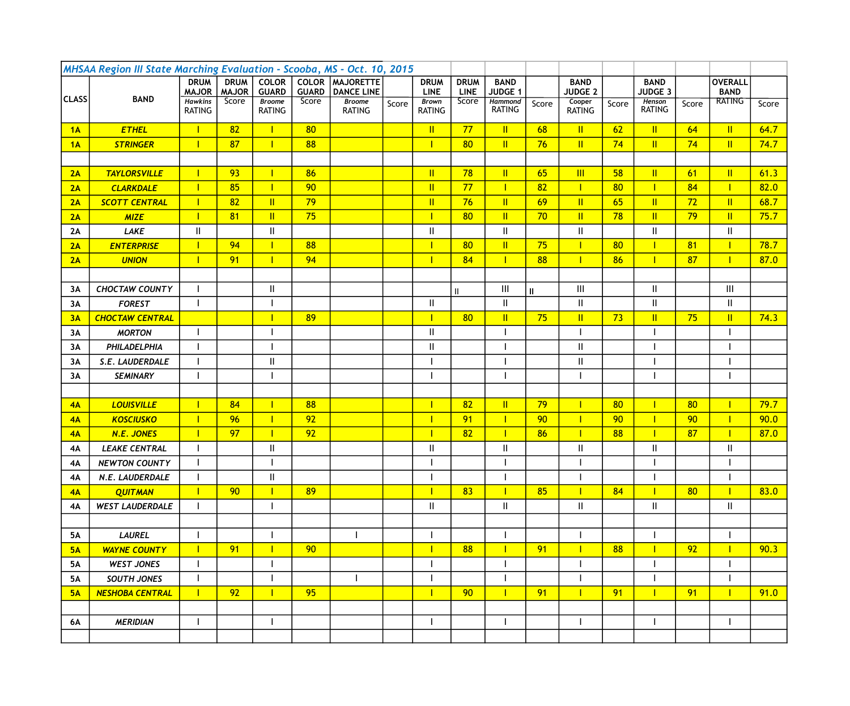| MHSAA Region III State Marching Evaluation - Scooba, MS - Oct. 10, 2015 |                        |                             |                             |                              |                              |                                       |       |                            |                            |                               |              |                               |       |                               |                 |                               |       |
|-------------------------------------------------------------------------|------------------------|-----------------------------|-----------------------------|------------------------------|------------------------------|---------------------------------------|-------|----------------------------|----------------------------|-------------------------------|--------------|-------------------------------|-------|-------------------------------|-----------------|-------------------------------|-------|
|                                                                         |                        | <b>DRUM</b><br><b>MAJOR</b> | <b>DRUM</b><br><b>MAJOR</b> | <b>COLOR</b><br><b>GUARD</b> | <b>COLOR</b><br><b>GUARD</b> | <b>MAJORETTE</b><br><b>DANCE LINE</b> |       | <b>DRUM</b><br><b>LINE</b> | <b>DRUM</b><br><b>LINE</b> | <b>BAND</b><br><b>JUDGE 1</b> |              | <b>BAND</b><br><b>JUDGE 2</b> |       | <b>BAND</b><br><b>JUDGE 3</b> |                 | <b>OVERALL</b><br><b>BAND</b> |       |
| <b>CLASS</b>                                                            | <b>BAND</b>            | <b>Hawkins</b>              | Score                       | <b>Broome</b>                | Score                        | <b>Broome</b>                         | Score | <b>Brown</b>               | Score                      | <b>Hammond</b>                | Score        | Cooper                        | Score | Henson                        | Score           | <b>RATING</b>                 | Score |
|                                                                         |                        | <b>RATING</b>               |                             | <b>RATING</b>                |                              | <b>RATING</b>                         |       | <b>RATING</b>              |                            | <b>RATING</b>                 |              | <b>RATING</b>                 |       | <b>RATING</b>                 |                 |                               |       |
| 1A                                                                      | <b>ETHEL</b>           |                             | 82                          |                              | 80                           |                                       |       | $\mathbf{II}$              | 77                         | $\mathbf{II}$                 | 68           | $\mathbf{II}$                 | 62    | $\mathbb{I}$                  | 64              | $\mathbb{I}$                  | 64.7  |
| 1A                                                                      | <b>STRINGER</b>        | T                           | 87                          |                              | 88                           |                                       |       | $\mathbf{I}$               | 80                         | $\mathbf{II}$                 | 76           | $\mathbf{II}$                 | 74    | $\mathbf{II}$                 | 74              | $\mathbb{I}$                  | 74.7  |
|                                                                         |                        |                             |                             |                              |                              |                                       |       |                            |                            |                               |              |                               |       |                               |                 |                               |       |
| 2A                                                                      | <b>TAYLORSVILLE</b>    | $\mathbf{I}$                | 93                          |                              | 86                           |                                       |       | $\mathbf{I}$               | 78                         | $\mathbf{I}$                  | 65           | $\overline{\mathsf{III}}$     | 58    | $\mathbf{II}$                 | 61              | $\mathbf{II}$                 | 61.3  |
| 2A                                                                      | <b>CLARKDALE</b>       | $\mathbf{I}$                | 85                          |                              | 90                           |                                       |       | $\mathbf{II}$              | 77                         | $\mathbf{I}$                  | 82           | $\mathbf{I}$                  | 80    | Т                             | 84              | $\mathbf{I}$                  | 82.0  |
| 2A                                                                      | <b>SCOTT CENTRAL</b>   | $\mathbf{I}$                | 82                          | $\mathbf{II}$                | 79                           |                                       |       | $\mathbf{I}$               | 76                         | $\mathbf{II}$                 | 69           | $\mathbf{II}$                 | 65    | $\mathbf{II}$                 | 72              | $\mathbf{I}$                  | 68.7  |
| 2A                                                                      | <b>MIZE</b>            | $\mathbf{I}$                | 81                          | $\mathbf{II}$                | 75                           |                                       |       | $\mathbf{I}$               | 80                         | $\mathbf{II}$                 | 70           | $\mathbf{II}$                 | 78    | $\mathbb{I}$                  | 79              | $\mathbf{II}$                 | 75.7  |
| 2A                                                                      | <b>LAKE</b>            | Ш                           |                             | $\mathbf{II}$                |                              |                                       |       | Ш                          |                            | $\mathbf{I}$                  |              | $\mathbf{II}$                 |       | $\mathbf{II}$                 |                 | $\mathbf{II}$                 |       |
| 2A                                                                      | <b>ENTERPRISE</b>      | $\mathbf{I}$                | 94                          |                              | 88                           |                                       |       | $\mathbf{I}$               | 80                         | $\mathbf{II}$                 | 75           | $\mathbf{I}$                  | 80    |                               | 81              | $\mathbf{I}$                  | 78.7  |
| 2A                                                                      | <b>UNION</b>           | $\mathbf{I}$                | 91                          |                              | 94                           |                                       |       | $\mathbf{I}$               | 84                         | $\mathbf{I}$                  | 88           | $\mathbf{I}$                  | 86    |                               | 87              | $\mathbf{I}$                  | 87.0  |
|                                                                         |                        |                             |                             |                              |                              |                                       |       |                            |                            |                               |              |                               |       |                               |                 |                               |       |
| 3A                                                                      | <b>CHOCTAW COUNTY</b>  |                             |                             | $\mathbf{H}$                 |                              |                                       |       |                            | $\mathbf{H}$               | $\mathbf{III}$                | $\mathbf{I}$ | $\mathbf{III}$                |       | $\mathbf{I}$                  |                 | III                           |       |
| 3A                                                                      | <b>FOREST</b>          |                             |                             |                              |                              |                                       |       | Ш                          |                            | $\mathbf{I}$                  |              | $\mathbf{II}$                 |       | Ш.                            |                 | $\mathbf{I}$                  |       |
| 3A                                                                      | <b>CHOCTAW CENTRAL</b> |                             |                             |                              | 89                           |                                       |       | $\mathbf{L}$               | 80                         | $\mathbf{II}$                 | 75           | $\mathbf{II}$                 | 73    | $\mathbf{II}$                 | 75              | $\mathbf{II}$                 | 74.3  |
| 3A                                                                      | <b>MORTON</b>          |                             |                             |                              |                              |                                       |       | $\mathbf{I}$               |                            |                               |              |                               |       |                               |                 |                               |       |
| 3A                                                                      | PHILADELPHIA           |                             |                             |                              |                              |                                       |       | $\mathsf{II}$              |                            |                               |              | $\ensuremath{\mathsf{II}}$    |       |                               |                 |                               |       |
| 3A                                                                      | S.E. LAUDERDALE        |                             |                             | $\mathbf{I}$                 |                              |                                       |       |                            |                            |                               |              | $\ensuremath{\mathsf{II}}$    |       |                               |                 |                               |       |
| 3A                                                                      | <b>SEMINARY</b>        |                             |                             |                              |                              |                                       |       |                            |                            |                               |              |                               |       |                               |                 |                               |       |
|                                                                         |                        |                             |                             |                              |                              |                                       |       |                            |                            |                               |              |                               |       |                               |                 |                               |       |
| 4A                                                                      | <b>LOUISVILLE</b>      |                             | 84                          |                              | 88                           |                                       |       |                            | 82                         | $\mathbf{II}$                 | 79           |                               | 80    |                               | 80              | П                             | 79.7  |
| 4A                                                                      | <b>KOSCIUSKO</b>       |                             | 96                          |                              | 92                           |                                       |       |                            | 91                         |                               | 90           |                               | 90    |                               | 90              | П                             | 90.0  |
| 4A                                                                      | <b>N.E. JONES</b>      |                             | 97                          |                              | 92                           |                                       |       |                            | 82                         |                               | 86           |                               | 88    |                               | 87              |                               | 87.0  |
| 4A                                                                      | <b>LEAKE CENTRAL</b>   |                             |                             | $\mathbf{I}$                 |                              |                                       |       | $\mathbf{I}$               |                            | $\mathbf{I}$                  |              | $\mathbf{I}$                  |       | Ш                             |                 | $\mathbf{\mathsf{I}}$         |       |
| 4A                                                                      | <b>NEWTON COUNTY</b>   |                             |                             |                              |                              |                                       |       |                            |                            |                               |              |                               |       |                               |                 |                               |       |
| 4A                                                                      | N.E. LAUDERDALE        |                             |                             | Ш                            |                              |                                       |       |                            |                            |                               |              |                               |       |                               |                 |                               |       |
| 4A                                                                      | <b>QUITMAN</b>         |                             | 90                          |                              | 89                           |                                       |       | $\mathbf{L}$               | 83                         |                               | 85           |                               | 84    |                               | 80 <sub>2</sub> |                               | 83.0  |
| 4A                                                                      | <b>WEST LAUDERDALE</b> |                             |                             |                              |                              |                                       |       | $\mathop{\rm II}\nolimits$ |                            | $\mathbf{I}$                  |              | $\ensuremath{\mathsf{II}}$    |       | $\mathbf{II}$                 |                 | $\mathbf{II}$                 |       |
|                                                                         |                        |                             |                             |                              |                              |                                       |       |                            |                            |                               |              |                               |       |                               |                 |                               |       |
| 5A                                                                      | <b>LAUREL</b>          |                             |                             |                              |                              | -1                                    |       |                            |                            |                               |              |                               |       |                               |                 |                               |       |
| 5A                                                                      | <b>WAYNE COUNTY</b>    | $\mathsf{I}$                | 91                          |                              | 90                           |                                       |       | $\mathbf{I}$               | 88                         | $\mathbf{I}$                  | 91           | 1                             | 88    |                               | 92              | $\mathbf{I}$                  | 90.3  |
| <b>5A</b>                                                               | <b>WEST JONES</b>      |                             |                             |                              |                              |                                       |       |                            |                            |                               |              |                               |       |                               |                 |                               |       |
| <b>5A</b>                                                               | <b>SOUTH JONES</b>     |                             |                             |                              |                              |                                       |       |                            |                            |                               |              |                               |       |                               |                 |                               |       |
| 5A                                                                      | <b>NESHOBA CENTRAL</b> | $\mathbf{I}$                | 92                          |                              | 95                           |                                       |       |                            | 90                         |                               | 91           |                               | 91    |                               | 91              |                               | 91.0  |
|                                                                         |                        |                             |                             |                              |                              |                                       |       |                            |                            |                               |              |                               |       |                               |                 |                               |       |
| <b>6A</b>                                                               | <b>MERIDIAN</b>        |                             |                             |                              |                              |                                       |       |                            |                            |                               |              |                               |       |                               |                 |                               |       |
|                                                                         |                        |                             |                             |                              |                              |                                       |       |                            |                            |                               |              |                               |       |                               |                 |                               |       |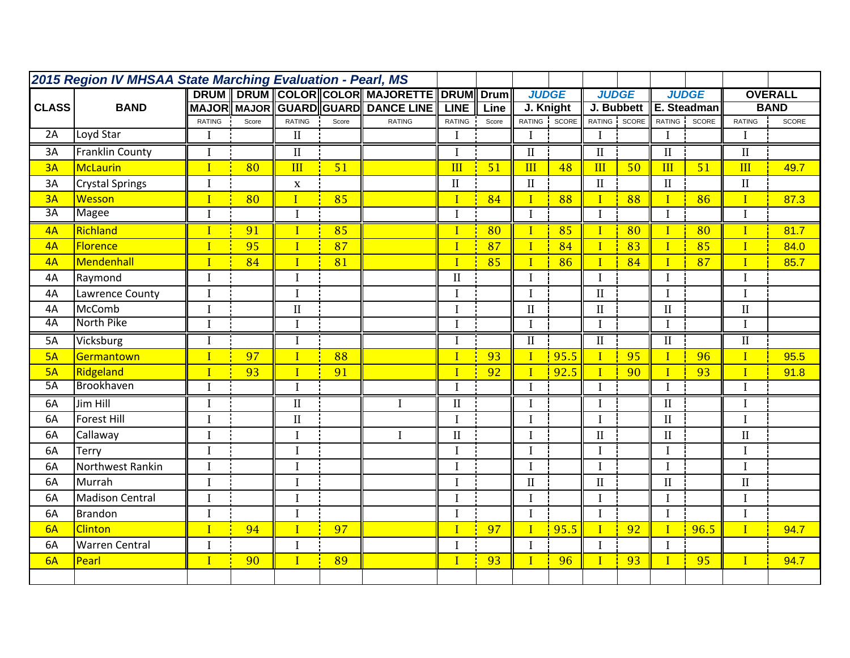| 2015 Region IV MHSAA State Marching Evaluation - Pearl, MS |                        |                |                                     |                 |       |                                    |                |                 |                 |              |                 |                 |                 |                 |                 |             |
|------------------------------------------------------------|------------------------|----------------|-------------------------------------|-----------------|-------|------------------------------------|----------------|-----------------|-----------------|--------------|-----------------|-----------------|-----------------|-----------------|-----------------|-------------|
|                                                            |                        |                | DRUM   DRUM   COLOR COLOR MAJORETTE |                 |       | <b>DRUM</b>                        | <b>Drum</b>    | <b>JUDGE</b>    |                 | <b>JUDGE</b> |                 |                 | <b>JUDGE</b>    |                 | <b>OVERALL</b>  |             |
| <b>CLASS</b>                                               | <b>BAND</b>            |                |                                     |                 |       | MAJOR MAJOR GUARD GUARD DANCE LINE | <b>LINE</b>    | Line            | J. Knight       |              | J. Bubbett      |                 | E. Steadman     |                 |                 | <b>BAND</b> |
|                                                            |                        | RATING         | Score                               | <b>RATING</b>   | Score | <b>RATING</b>                      | <b>RATING</b>  | Score           | <b>RATING</b>   | SCORE        | RATING          | SCORE           | <b>RATING</b>   | SCORE           | <b>RATING</b>   | SCORE       |
| 2A                                                         | Loyd Star              | I              |                                     | $\mathbf{I}$    |       |                                    | $\mathbf I$    |                 | $\mathbf{I}$    |              | $\bf{I}$        |                 | $\bf{I}$        |                 | $\bf{I}$        |             |
| 3A                                                         | <b>Franklin County</b> | $\bf I$        |                                     | $\overline{II}$ |       |                                    | $\mathbf I$    |                 | $\overline{II}$ |              | $\overline{II}$ |                 | $\overline{II}$ |                 | $\overline{II}$ |             |
| 3A                                                         | <b>McLaurin</b>        | $\mathbf{I}$   | 80                                  | III             | 51    |                                    | III            | 51              | III             | 48           | III             | 50              | III             | 51              | III             | 49.7        |
| 3A                                                         | <b>Crystal Springs</b> |                |                                     | $\mathbf X$     |       |                                    | $\rm II$       |                 | $\mathbf{I}$    |              | $\mathbf{I}$    |                 | $\mathbf{I}$    |                 | $\;$ II         |             |
| 3A                                                         | Wesson                 | $\overline{I}$ | 80                                  | $\overline{I}$  | 85    |                                    | $\overline{1}$ | 84              | $\mathbf{I}$    | 88           | $\overline{I}$  | 88              | $\overline{I}$  | 86              | $\mathbf{I}$    | 87.3        |
| $\overline{3A}$                                            | Magee                  | I              |                                     | $\mathbf I$     |       |                                    | $\mathbf I$    |                 | $\mathbf{I}$    |              | $\mathbf{I}$    |                 | $\mathbf I$     |                 | $\mathbf I$     |             |
| 4A                                                         | Richland               |                | 91                                  | $\mathbf I$     | 85    |                                    | $\overline{I}$ | $\overline{80}$ | П               | 85           | $\mathbf{I}$    | $\overline{80}$ | $\mathbf{I}$    | $\overline{80}$ | $\mathbf I$     | 81.7        |
| 4A                                                         | Florence               | $\mathbf{I}$   | 95                                  | $\mathbf{I}$    | 87    |                                    | $\mathbf I$    | 87              | $\mathbf{I}$    | 84           | $\mathbf{I}$    | 83              | $\overline{I}$  | 85              | $\mathbf I$     | 84.0        |
| 4A                                                         | Mendenhall             | $\mathbf{I}$   | 84                                  | $\overline{I}$  | 81    |                                    | $\mathbf I$    | 85              | $\mathbf{I}$    | 86           | $\mathbf{I}$    | 84              | $\mathbf{I}$    | 87              | $\mathbf{I}$    | 85.7        |
| 4A                                                         | Raymond                |                |                                     | I               |       |                                    | $\mathbf{I}$   |                 | $\mathbf I$     |              | $\mathbf I$     |                 | $\bf{I}$        |                 | $\mathbf I$     |             |
| 4A                                                         | Lawrence County        | $\bf{I}$       |                                     | $\mathbf I$     |       |                                    | $\mathbf I$    |                 | $\mathbf{I}$    |              | $\mathbf{I}$    |                 | I               |                 | $\mathbf I$     |             |
| 4A                                                         | McComb                 | I              |                                     | $\mathbf{I}$    |       |                                    | $\mathbf I$    |                 | $\mathbf{II}$   |              | $\rm II$        |                 | $\mathbf{I}$    |                 | $\rm II$        |             |
| 4A                                                         | North Pike             |                |                                     | I               |       |                                    | $\mathbf I$    |                 | $\mathbf I$     |              | $\bf{I}$        |                 | $\mathbf I$     |                 | $\mathbf I$     |             |
| 5A                                                         | Vicksburg              |                |                                     | I               |       |                                    | $\mathbf I$    |                 | $\mathbf{I}$    |              | $\rm II$        |                 | $\mathbf{I}$    |                 | $\rm II$        |             |
| 5A                                                         | Germantown             | $\mathbf{I}$   | 97                                  | $\mathbf{I}$    | 88    |                                    | $\overline{1}$ | 93              | $\mathbf I$     | 95.5         | $\mathbf{I}$    | 95              | $\mathbf{I}$    | 96              | $\mathbf I$     | 95.5        |
| 5A                                                         | Ridgeland              |                | 93                                  | $\overline{I}$  | 91    |                                    | $\mathbf I$    | 92              |                 | 92.5         | $\mathbf{I}$    | 90              | $\overline{I}$  | 93              | $\mathbf{I}$    | 91.8        |
| 5A                                                         | Brookhaven             |                |                                     | $\overline{I}$  |       |                                    | $\mathbf I$    |                 | $\mathbf I$     |              | $\mathbf I$     |                 | $\mathbf I$     |                 | $\rm I$         |             |
| 6A                                                         | Jim Hill               | I              |                                     | $\rm II$        |       | $\mathbf I$                        | $\rm II$       |                 | $\mathbf{I}$    |              | $\mathbf I$     |                 | $\rm II$        |                 | $\mathbf I$     |             |
| 6A                                                         | <b>Forest Hill</b>     |                |                                     | $\rm II$        |       |                                    | $\mathbf I$    |                 | $\mathbf I$     |              | $\mathbf I$     |                 | $\mathbf{I}$    |                 | $\overline{I}$  |             |
| 6A                                                         | Callaway               |                |                                     | I               |       | $\mathbf{I}$                       | $\rm II$       |                 | $\mathbf I$     |              | $\rm II$        |                 | $\rm II$        |                 | $\mathbf{I}$    |             |
| 6A                                                         | Terry                  |                |                                     | I               |       |                                    | $\mathbf I$    |                 | $\mathbf{I}$    |              | $\mathbf I$     |                 | I               |                 | $\mathbf I$     |             |
| 6A                                                         | Northwest Rankin       | I              |                                     | I               |       |                                    | $\overline{I}$ |                 | $\mathbf I$     |              | $\mathbf I$     |                 | $\mathbf I$     |                 | $\mathbf I$     |             |
| 6A                                                         | Murrah                 | I              |                                     | I               |       |                                    | $\overline{I}$ |                 | $\mathbf{I}$    |              | $\mathbf{I}$    |                 | $\mathbf{I}$    |                 | $\rm II$        |             |
| 6A                                                         | <b>Madison Central</b> | I              |                                     | I               |       |                                    | $\mathbf I$    |                 | $\mathbf I$     |              | $\mathbf I$     |                 | $\mathbf I$     |                 | $\overline{I}$  |             |
| 6A                                                         | <b>Brandon</b>         |                |                                     | I               |       |                                    | $\mathbf I$    |                 | $\mathbf I$     |              | $\mathbf I$     |                 | I               |                 | $\mathbf I$     |             |
| 6A                                                         | <b>Clinton</b>         | $\overline{I}$ | 94                                  | $\mathbf{I}$    | 97    |                                    | $\overline{1}$ | 97              | $\mathbf I$     | 95.5         | $\mathbf{I}$    | 92              | $\mathbf{I}$    | 96.5            | $\mathbf{I}$    | 94.7        |
| 6A                                                         | <b>Warren Central</b>  | $\mathbf I$    |                                     | $\mathbf I$     |       |                                    | $\rm I$        |                 | $\mathbf I$     |              | $\mathbf{I}$    |                 | $\mathbf I$     |                 |                 |             |
| 6A                                                         | Pearl                  | $\mathbf{I}$   | 90                                  | $\overline{I}$  | 89    |                                    | $\overline{1}$ | 93              | $\mathbf{I}$    | 96           | $\mathbf{I}$    | 93              | $\mathbf{I}$    | 95              | $\mathbf{I}$    | 94.7        |
|                                                            |                        |                |                                     |                 |       |                                    |                |                 |                 |              |                 |                 |                 |                 |                 |             |